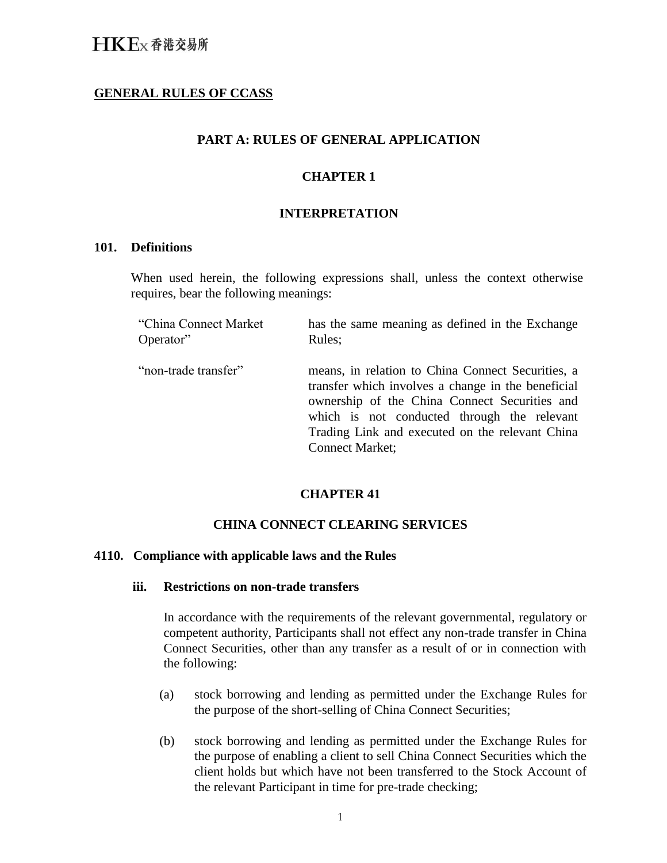# **GENERAL RULES OF CCASS**

# **PART A: RULES OF GENERAL APPLICATION**

# **CHAPTER 1**

### **INTERPRETATION**

#### **101. Definitions**

When used herein, the following expressions shall, unless the context otherwise requires, bear the following meanings:

| "China Connect Market | has the same meaning as defined in the Exchange                                                                                                                                                                                                                                      |
|-----------------------|--------------------------------------------------------------------------------------------------------------------------------------------------------------------------------------------------------------------------------------------------------------------------------------|
| Operator"             | Rules;                                                                                                                                                                                                                                                                               |
| "non-trade transfer"  | means, in relation to China Connect Securities, a<br>transfer which involves a change in the beneficial<br>ownership of the China Connect Securities and<br>which is not conducted through the relevant<br>Trading Link and executed on the relevant China<br><b>Connect Market:</b> |

# **CHAPTER 41**

### **CHINA CONNECT CLEARING SERVICES**

#### **4110. Compliance with applicable laws and the Rules**

### **iii. Restrictions on non-trade transfers**

In accordance with the requirements of the relevant governmental, regulatory or competent authority, Participants shall not effect any non-trade transfer in China Connect Securities, other than any transfer as a result of or in connection with the following:

- (a) stock borrowing and lending as permitted under the Exchange Rules for the purpose of the short-selling of China Connect Securities;
- (b) stock borrowing and lending as permitted under the Exchange Rules for the purpose of enabling a client to sell China Connect Securities which the client holds but which have not been transferred to the Stock Account of the relevant Participant in time for pre-trade checking;